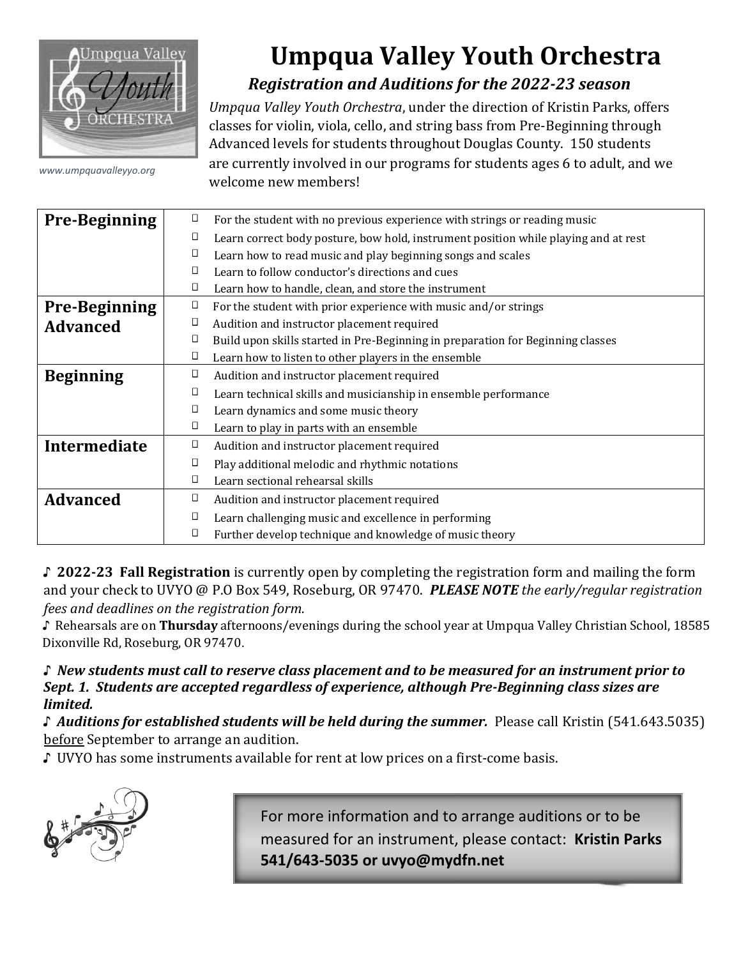

## **Umpqua Valley Youth Orchestra**  *Registration and Auditions for the 2022-23 season*

*Umpqua Valley Youth Orchestra*, under the direction of Kristin Parks, offers classes for violin, viola, cello, and string bass from Pre-Beginning through Advanced levels for students throughout Douglas County. 150 students are currently involved in our programs for students ages 6 to adult, and we welcome new members!

| <b>Pre-Beginning</b> | O      | For the student with no previous experience with strings or reading music           |  |  |  |  |  |
|----------------------|--------|-------------------------------------------------------------------------------------|--|--|--|--|--|
|                      | О      | Learn correct body posture, bow hold, instrument position while playing and at rest |  |  |  |  |  |
|                      | ◧      | Learn how to read music and play beginning songs and scales                         |  |  |  |  |  |
|                      | □      | Learn to follow conductor's directions and cues                                     |  |  |  |  |  |
|                      | Ц      | Learn how to handle, clean, and store the instrument                                |  |  |  |  |  |
| <b>Pre-Beginning</b> | П      | For the student with prior experience with music and/or strings                     |  |  |  |  |  |
| <b>Advanced</b>      | Ц      | Audition and instructor placement required                                          |  |  |  |  |  |
|                      | Ц      | Build upon skills started in Pre-Beginning in preparation for Beginning classes     |  |  |  |  |  |
|                      | Ο      | Learn how to listen to other players in the ensemble                                |  |  |  |  |  |
| <b>Beginning</b>     | $\Box$ | Audition and instructor placement required                                          |  |  |  |  |  |
|                      | D      | Learn technical skills and musicianship in ensemble performance                     |  |  |  |  |  |
|                      | □      | Learn dynamics and some music theory                                                |  |  |  |  |  |
|                      | П      | Learn to play in parts with an ensemble                                             |  |  |  |  |  |
| Intermediate         | $\Box$ | Audition and instructor placement required                                          |  |  |  |  |  |
|                      | О      | Play additional melodic and rhythmic notations                                      |  |  |  |  |  |
|                      | □      | Learn sectional rehearsal skills                                                    |  |  |  |  |  |
| <b>Advanced</b>      | O      | Audition and instructor placement required                                          |  |  |  |  |  |
|                      | D      | Learn challenging music and excellence in performing                                |  |  |  |  |  |
|                      | Д      | Further develop technique and knowledge of music theory                             |  |  |  |  |  |

♪ **2022-23 Fall Registration** is currently open by completing the registration form and mailing the form and your check to UVYO @ P.O Box 549, Roseburg, OR 97470. *PLEASE NOTE the early/regular registration fees and deadlines on the registration form.*

♪ Rehearsals are on **Thursday** afternoons/evenings during the school year at Umpqua Valley Christian School, 18585 Dixonville Rd, Roseburg, OR 97470.

♪ *New students must call to reserve class placement and to be measured for an instrument prior to Sept. 1. Students are accepted regardless of experience, although Pre-Beginning class sizes are limited.*

♪ *Auditions for established students will be held during the summer.* Please call Kristin (541.643.5035) before September to arrange an audition.

♪ UVYO has some instruments available for rent at low prices on a first-come basis.



For more information and to arrange auditions or to be measured for an instrument, please contact: **Kristin Parks 541/643-5035 or uvyo@mydfn.net**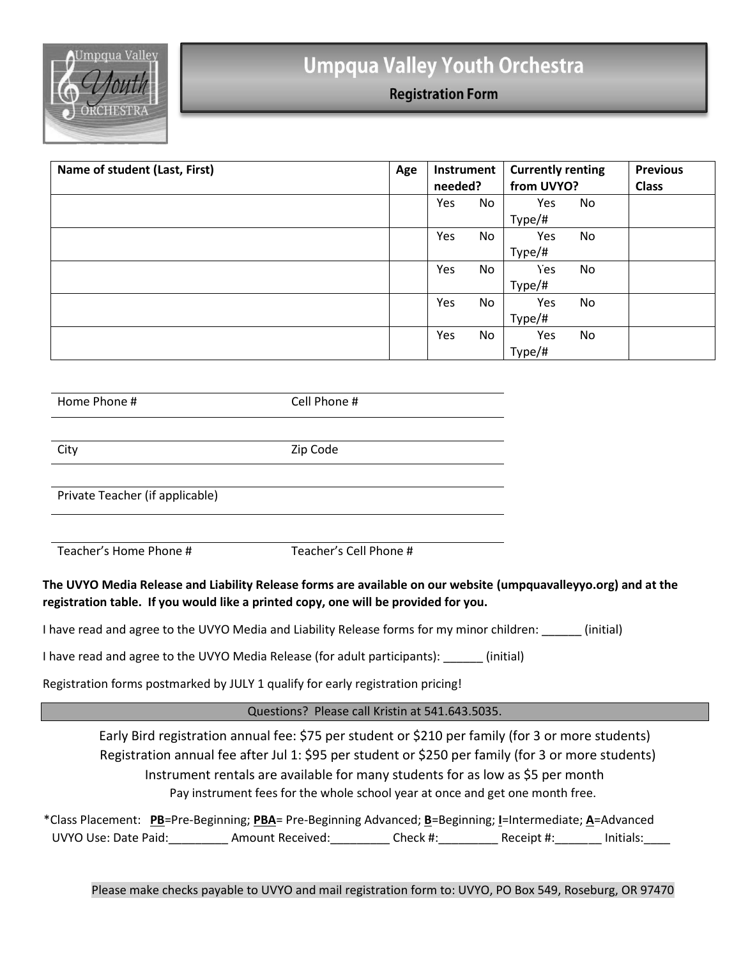

## **Umpqua Valley Youth Orchestra**

**Registration Form** 

| Name of student (Last, First) | Age | Instrument<br>needed? |    | <b>Currently renting</b><br>from UVYO? |    | <b>Previous</b><br><b>Class</b> |
|-------------------------------|-----|-----------------------|----|----------------------------------------|----|---------------------------------|
|                               |     | Yes                   | No | Yes<br>Type/#                          | No |                                 |
|                               |     | Yes                   | No | Yes<br>Type/#                          | No |                                 |
|                               |     | Yes                   | No | Yes<br>Type/#                          | No |                                 |
|                               |     | Yes                   | No | Yes<br>Type/#                          | No |                                 |
|                               |     | Yes                   | No | Yes<br>Type/#                          | No |                                 |

Home Phone # Cell Phone #

City Zip Code

Private Teacher (if applicable)

Teacher's Home Phone # Teacher's Cell Phone #

## **The UVYO Media Release and Liability Release forms are available on our website (umpquavalleyyo.org) and at the registration table. If you would like a printed copy, one will be provided for you.**

I have read and agree to the UVYO Media and Liability Release forms for my minor children: \_\_\_\_\_\_ (initial)

I have read and agree to the UVYO Media Release (for adult participants): \_\_\_\_\_\_ (initial)

Registration forms postmarked by JULY 1 qualify for early registration pricing!

## Questions? Please call Kristin at 541.643.5035.

Early Bird registration annual fee: \$75 per student or \$210 per family (for 3 or more students) Registration annual fee after Jul 1: \$95 per student or \$250 per family (for 3 or more students) Instrument rentals are available for many students for as low as \$5 per month Pay instrument fees for the whole school year at once and get one month free.

\*Class Placement: **PB**=Pre-Beginning; **PBA**= Pre-Beginning Advanced; **B**=Beginning; **I**=Intermediate; **A**=Advanced UVYO Use: Date Paid:\_\_\_\_\_\_\_\_\_\_\_ Amount Received:\_\_\_\_\_\_\_\_\_\_ Check #:\_\_\_\_\_\_\_\_\_ Receipt #:\_\_\_\_\_\_\_ Initials:\_\_\_\_\_